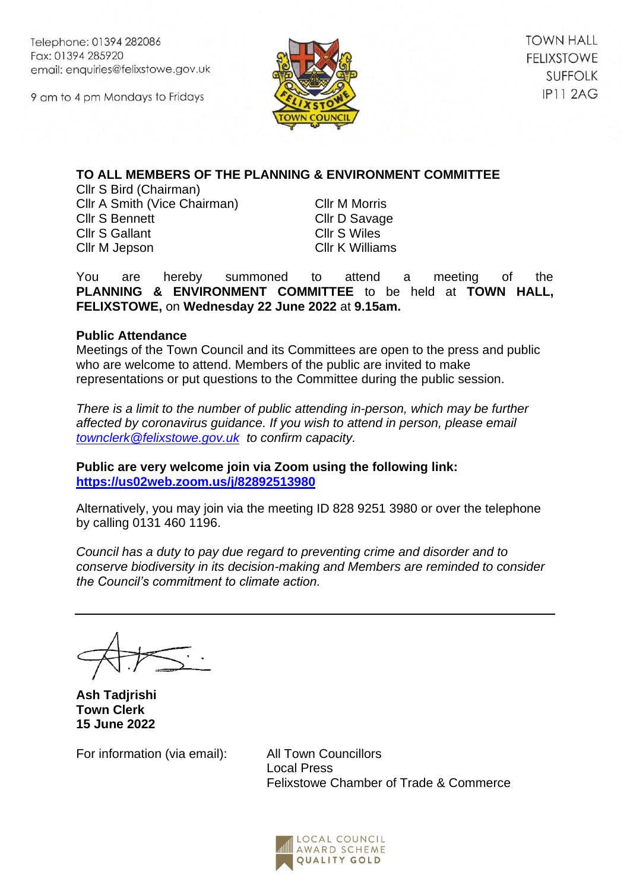Telephone: 01394 282086 Fax: 01394 285920 email: enquiries@felixstowe.gov.uk

9 am to 4 pm Mondays to Fridays



**TOWN HALL FELIXSTOWE SUFFOLK IP11 2AG** 

# **TO ALL MEMBERS OF THE PLANNING & ENVIRONMENT COMMITTEE**

Cllr S Bird (Chairman) Cllr A Smith (Vice Chairman) Cllr S Bennett Cllr S Gallant Cllr M Jepson

Cllr M Morris Cllr D Savage Cllr S Wiles Cllr K Williams

You are hereby summoned to attend a meeting of the **PLANNING & ENVIRONMENT COMMITTEE** to be held at **TOWN HALL, FELIXSTOWE,** on **Wednesday 22 June 2022** at **9.15am.**

# **Public Attendance**

Meetings of the Town Council and its Committees are open to the press and public who are welcome to attend. Members of the public are invited to make representations or put questions to the Committee during the public session.

*There is a limit to the number of public attending in-person, which may be further affected by coronavirus guidance. If you wish to attend in person, please email [townclerk@felixstowe.gov.uk](mailto:townclerk@felixstowe.gov.uk) to confirm capacity.*

**Public are very welcome join via Zoom using the following link: <https://us02web.zoom.us/j/82892513980>**

Alternatively, you may join via the meeting ID 828 9251 3980 or over the telephone by calling 0131 460 1196.

*Council has a duty to pay due regard to preventing crime and disorder and to conserve biodiversity in its decision-making and Members are reminded to consider the Council's commitment to climate action.*

**Ash Tadjrishi Town Clerk 15 June 2022**

For information (via email): All Town Councillors

Local Press Felixstowe Chamber of Trade & Commerce

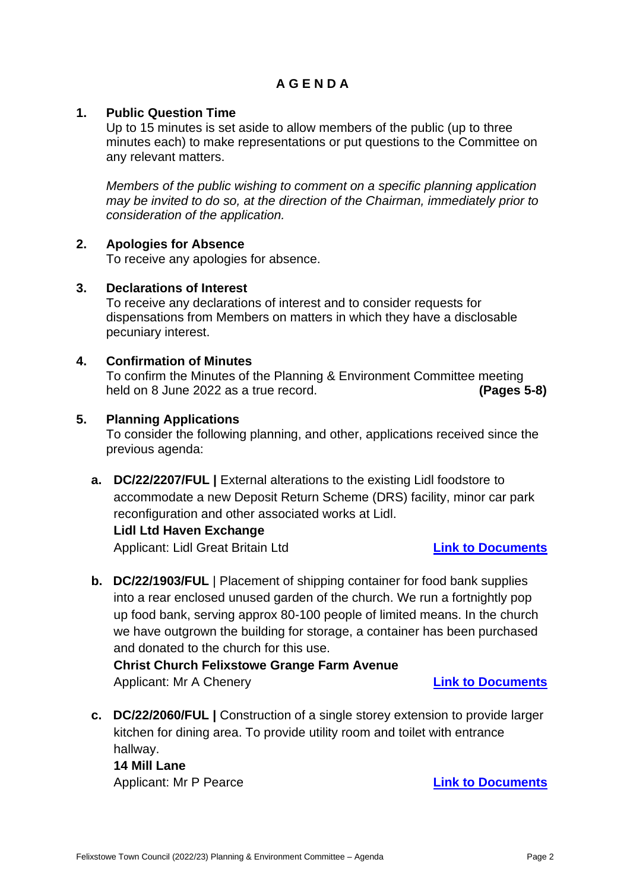# **A G E N D A**

# **1. Public Question Time**

Up to 15 minutes is set aside to allow members of the public (up to three minutes each) to make representations or put questions to the Committee on any relevant matters.

*Members of the public wishing to comment on a specific planning application may be invited to do so, at the direction of the Chairman, immediately prior to consideration of the application.*

# **2. Apologies for Absence**

To receive any apologies for absence.

# **3. Declarations of Interest**

To receive any declarations of interest and to consider requests for dispensations from Members on matters in which they have a disclosable pecuniary interest.

# **4. Confirmation of Minutes**

To confirm the Minutes of the Planning & Environment Committee meeting held on 8 June 2022 as a true record. **(Pages 5-8)**

#### **5. Planning Applications**

To consider the following planning, and other, applications received since the previous agenda:

**a. DC/22/2207/FUL |** External alterations to the existing Lidl foodstore to accommodate a new Deposit Return Scheme (DRS) facility, minor car park reconfiguration and other associated works at Lidl.

#### **Lidl Ltd Haven Exchange**

Applicant: Lidl Great Britain Ltd **[Link to Documents](https://publicaccess.eastsuffolk.gov.uk/online-applications/applicationDetails.do?activeTab=externalDocuments&keyVal=RCQUEMQXLEZ00&prevPage=inTray)**

**b. DC/22/1903/FUL** | Placement of shipping container for food bank supplies into a rear enclosed unused garden of the church. We run a fortnightly pop up food bank, serving approx 80-100 people of limited means. In the church we have outgrown the building for storage, a container has been purchased and donated to the church for this use.

**Christ Church Felixstowe Grange Farm Avenue** Applicant: Mr A Chenery **[Link to Documents](https://publicaccess.eastsuffolk.gov.uk/online-applications/applicationDetails.do?activeTab=externalDocuments&keyVal=RBM8IFQX06O00&prevPage=inTray)**

**c. DC/22/2060/FUL |** Construction of a single storey extension to provide larger kitchen for dining area. To provide utility room and toilet with entrance hallway. **14 Mill Lane**

Applicant: Mr P Pearce **[Link to Documents](https://publicaccess.eastsuffolk.gov.uk/online-applications/applicationDetails.do?activeTab=externalDocuments&keyVal=RC4QYRQX07400&prevPage=inTray)**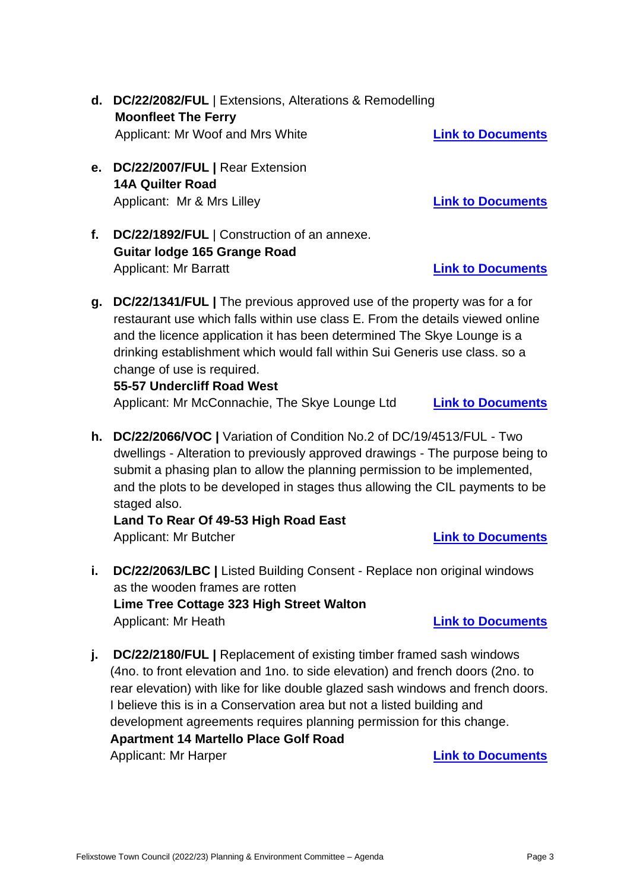- **d. DC/22/2082/FUL** | Extensions, Alterations & Remodelling **Moonfleet The Ferry** Applicant: Mr Woof and Mrs White **[Link to Documents](https://publicaccess.eastsuffolk.gov.uk/online-applications/applicationDetails.do?activeTab=externalDocuments&keyVal=RC6V0VQXL7D00&prevPage=inTray)**
- **e. DC/22/2007/FUL |** Rear Extension **14A Quilter Road** Applicant: Mr & Mrs Lilley **[Link to Documents](https://publicaccess.eastsuffolk.gov.uk/online-applications/applicationDetails.do?activeTab=externalDocuments&keyVal=RBYZMLQXL3500&prevPage=inTray)**
- **f. DC/22/1892/FUL** | Construction of an annexe. **Guitar lodge 165 Grange Road** Applicant: Mr Barratt **[Link to Documents](https://publicaccess.eastsuffolk.gov.uk/online-applications/applicationDetails.do?activeTab=externalDocuments&keyVal=RBKMX2QXKWS00&prevPage=inTray)**
- **g. DC/22/1341/FUL |** The previous approved use of the property was for a for restaurant use which falls within use class E. From the details viewed online and the licence application it has been determined The Skye Lounge is a drinking establishment which would fall within Sui Generis use class. so a change of use is required.

# **55-57 Undercliff Road West**

Applicant: Mr McConnachie, The Skye Lounge Ltd **[Link to Documents](https://publicaccess.eastsuffolk.gov.uk/online-applications/applicationDetails.do?activeTab=externalDocuments&keyVal=R9V54GQXK5L00)**

**h. DC/22/2066/VOC |** Variation of Condition No.2 of DC/19/4513/FUL - Two dwellings - Alteration to previously approved drawings - The purpose being to submit a phasing plan to allow the planning permission to be implemented, and the plots to be developed in stages thus allowing the CIL payments to be staged also.

**Land To Rear Of 49-53 High Road East** Applicant: Mr Butcher **[Link to Documents](https://publicaccess.eastsuffolk.gov.uk/online-applications/applicationDetails.do?activeTab=externalDocuments&keyVal=RC50BNQXL6900&prevPage=inTray)**

- **i. DC/22/2063/LBC |** Listed Building Consent Replace non original windows as the wooden frames are rotten **Lime Tree Cottage 323 High Street Walton** Applicant: Mr Heath **[Link to Documents](https://publicaccess.eastsuffolk.gov.uk/online-applications/applicationDetails.do?activeTab=externalDocuments&keyVal=RC4UR9QXL6500&prevPage=inTray)**
- **j.** DC/22/2180/FUL | Replacement of existing timber framed sash windows (4no. to front elevation and 1no. to side elevation) and french doors (2no. to rear elevation) with like for like double glazed sash windows and french doors. I believe this is in a Conservation area but not a listed building and development agreements requires planning permission for this change. **Apartment 14 Martello Place Golf Road** Applicant: Mr Harper **[Link to Documents](https://publicaccess.eastsuffolk.gov.uk/online-applications/applicationDetails.do?activeTab=summary&keyVal=RCJTMUQXLCK00&prevPage=inTray)**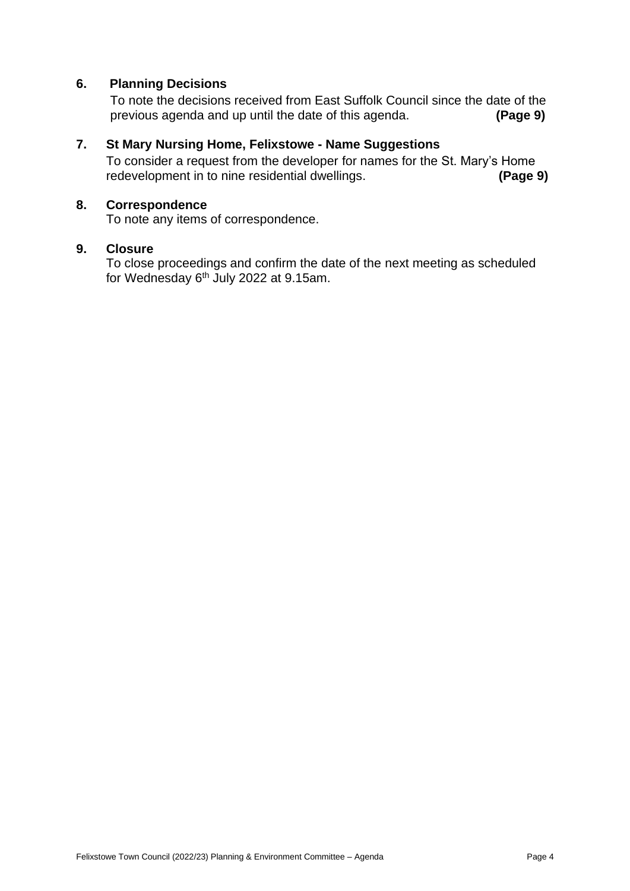# **6. Planning Decisions**

To note the decisions received from East Suffolk Council since the date of the previous agenda and up until the date of this agenda. **(Page 9)**

## **7. St Mary Nursing Home, Felixstowe - Name Suggestions**

To consider a request from the developer for names for the St. Mary's Home redevelopment in to nine residential dwellings. **(Page 9)**

## **8. Correspondence**

To note any items of correspondence.

## **9. Closure**

To close proceedings and confirm the date of the next meeting as scheduled for Wednesday 6<sup>th</sup> July 2022 at 9.15am.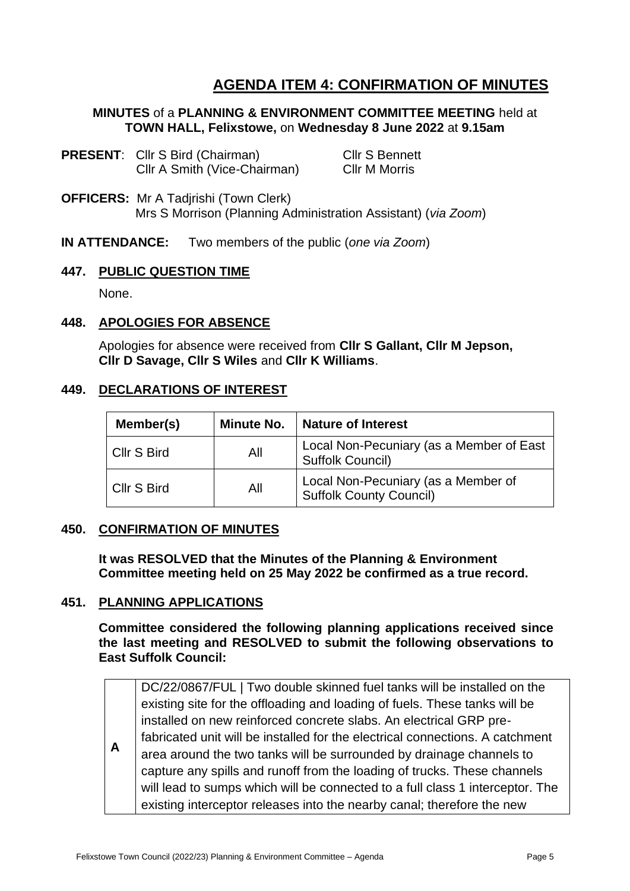# **AGENDA ITEM 4: CONFIRMATION OF MINUTES**

## **MINUTES** of a **PLANNING & ENVIRONMENT COMMITTEE MEETING** held at **TOWN HALL, Felixstowe,** on **Wednesday 8 June 2022** at **9.15am**

- **PRESENT:** Cllr S Bird (Chairman) Cllr S Bennett Cllr A Smith (Vice-Chairman) Cllr M Morris
- **OFFICERS:** Mr A Tadjrishi (Town Clerk) Mrs S Morrison (Planning Administration Assistant) (*via Zoom*)
- **IN ATTENDANCE:** Two members of the public (*one via Zoom*)

#### **447. PUBLIC QUESTION TIME**

None.

# **448. APOLOGIES FOR ABSENCE**

Apologies for absence were received from **Cllr S Gallant, Cllr M Jepson, Cllr D Savage, Cllr S Wiles** and **Cllr K Williams**.

#### **449. DECLARATIONS OF INTEREST**

| Member(s)   | <b>Minute No.</b> | Nature of Interest                                                    |
|-------------|-------------------|-----------------------------------------------------------------------|
| Cllr S Bird | All               | Local Non-Pecuniary (as a Member of East<br>Suffolk Council)          |
| Cllr S Bird | All               | Local Non-Pecuniary (as a Member of<br><b>Suffolk County Council)</b> |

# **450. CONFIRMATION OF MINUTES**

**It was RESOLVED that the Minutes of the Planning & Environment Committee meeting held on 25 May 2022 be confirmed as a true record.** 

# **451. PLANNING APPLICATIONS**

**Committee considered the following planning applications received since the last meeting and RESOLVED to submit the following observations to East Suffolk Council:** 

**A** DC/22/0867/FUL | Two double skinned fuel tanks will be installed on the existing site for the offloading and loading of fuels. These tanks will be installed on new reinforced concrete slabs. An electrical GRP prefabricated unit will be installed for the electrical connections. A catchment area around the two tanks will be surrounded by drainage channels to capture any spills and runoff from the loading of trucks. These channels will lead to sumps which will be connected to a full class 1 interceptor. The existing interceptor releases into the nearby canal; therefore the new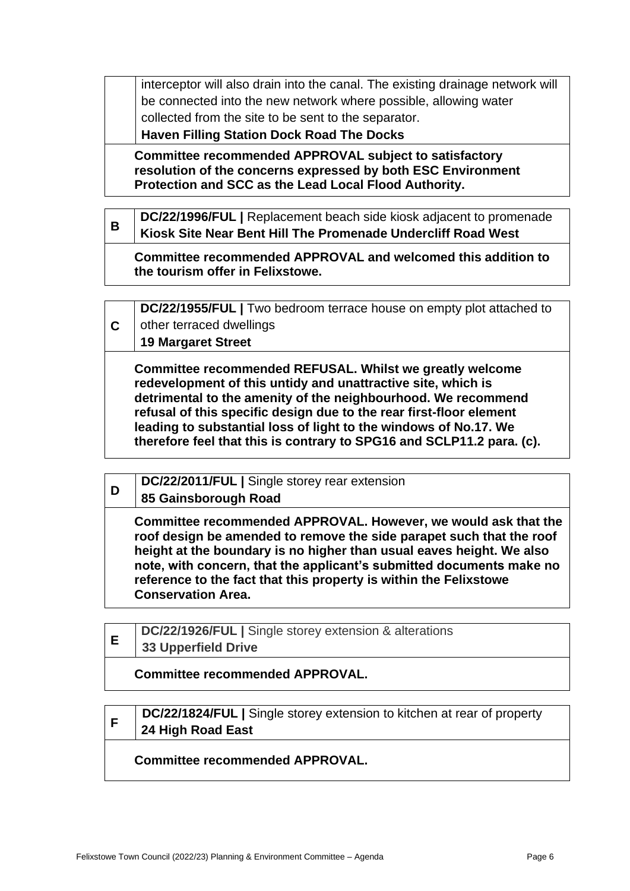interceptor will also drain into the canal. The existing drainage network will be connected into the new network where possible, allowing water collected from the site to be sent to the separator.

**Haven Filling Station Dock Road The Docks**

**Committee recommended APPROVAL subject to satisfactory resolution of the concerns expressed by both ESC Environment Protection and SCC as the Lead Local Flood Authority.** 

| B | DC/22/1996/FUL   Replacement beach side kiosk adjacent to promenade                              |
|---|--------------------------------------------------------------------------------------------------|
|   | Kiosk Site Near Bent Hill The Promenade Undercliff Road West                                     |
|   | Committee recommended APPROVAL and welcomed this addition to<br>the tourism offer in Felixstowe. |

|    | DC/22/1955/FUL   Two bedroom terrace house on empty plot attached to                                                                                                                                                                                                                                                                                                                                          |
|----|---------------------------------------------------------------------------------------------------------------------------------------------------------------------------------------------------------------------------------------------------------------------------------------------------------------------------------------------------------------------------------------------------------------|
| C. | other terraced dwellings                                                                                                                                                                                                                                                                                                                                                                                      |
|    | <b>19 Margaret Street</b>                                                                                                                                                                                                                                                                                                                                                                                     |
|    | Committee recommended REFUSAL. Whilst we greatly welcome<br>redevelopment of this untidy and unattractive site, which is<br>detrimental to the amenity of the neighbourhood. We recommend<br>refusal of this specific design due to the rear first-floor element<br>leading to substantial loss of light to the windows of No.17. We<br>therefore feel that this is contrary to SPG16 and SCLP11.2 para. (c). |

| D | DC/22/2011/FUL   Single storey rear extension                                                                                                                                                                                                                                                                                                                                            |
|---|------------------------------------------------------------------------------------------------------------------------------------------------------------------------------------------------------------------------------------------------------------------------------------------------------------------------------------------------------------------------------------------|
|   | 85 Gainsborough Road                                                                                                                                                                                                                                                                                                                                                                     |
|   | Committee recommended APPROVAL. However, we would ask that the<br>roof design be amended to remove the side parapet such that the roof<br>height at the boundary is no higher than usual eaves height. We also<br>note, with concern, that the applicant's submitted documents make no<br>reference to the fact that this property is within the Felixstowe<br><b>Conservation Area.</b> |

|  | DC/22/1926/FUL   Single storey extension & alterations |
|--|--------------------------------------------------------|
|  | <b>33 Upperfield Drive</b>                             |
|  | <b>Committee recommended APPROVAL.</b>                 |

|  | DC/22/1824/FUL   Single storey extension to kitchen at rear of property |
|--|-------------------------------------------------------------------------|
|  | 24 High Road East                                                       |
|  | <b>Committee recommended APPROVAL.</b>                                  |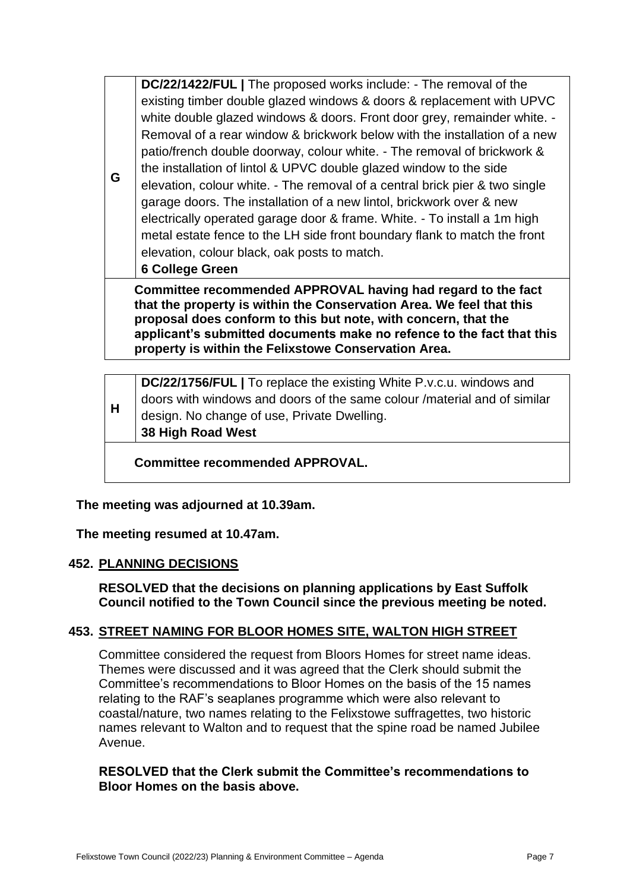**DC/22/1422/FUL |** The proposed works include: - The removal of the existing timber double glazed windows & doors & replacement with UPVC white double glazed windows & doors. Front door grey, remainder white. - Removal of a rear window & brickwork below with the installation of a new patio/french double doorway, colour white. - The removal of brickwork & the installation of lintol & UPVC double glazed window to the side elevation, colour white. - The removal of a central brick pier & two single garage doors. The installation of a new lintol, brickwork over & new electrically operated garage door & frame. White. - To install a 1m high metal estate fence to the LH side front boundary flank to match the front elevation, colour black, oak posts to match.

**6 College Green**

**G**

**Committee recommended APPROVAL having had regard to the fact that the property is within the Conservation Area. We feel that this proposal does conform to this but note, with concern, that the applicant's submitted documents make no refence to the fact that this property is within the Felixstowe Conservation Area.** 

| 38 High Road West | H | DC/22/1756/FUL   To replace the existing White P.v.c.u. windows and<br>doors with windows and doors of the same colour /material and of similar<br>design. No change of use, Private Dwelling. |
|-------------------|---|------------------------------------------------------------------------------------------------------------------------------------------------------------------------------------------------|
|-------------------|---|------------------------------------------------------------------------------------------------------------------------------------------------------------------------------------------------|

**Committee recommended APPROVAL.**

**The meeting was adjourned at 10.39am.**

**The meeting resumed at 10.47am.**

# **452. PLANNING DECISIONS**

**RESOLVED that the decisions on planning applications by East Suffolk Council notified to the Town Council since the previous meeting be noted.**

# **453. STREET NAMING FOR BLOOR HOMES SITE, WALTON HIGH STREET**

Committee considered the request from Bloors Homes for street name ideas. Themes were discussed and it was agreed that the Clerk should submit the Committee's recommendations to Bloor Homes on the basis of the 15 names relating to the RAF's seaplanes programme which were also relevant to coastal/nature, two names relating to the Felixstowe suffragettes, two historic names relevant to Walton and to request that the spine road be named Jubilee Avenue.

# **RESOLVED that the Clerk submit the Committee's recommendations to Bloor Homes on the basis above.**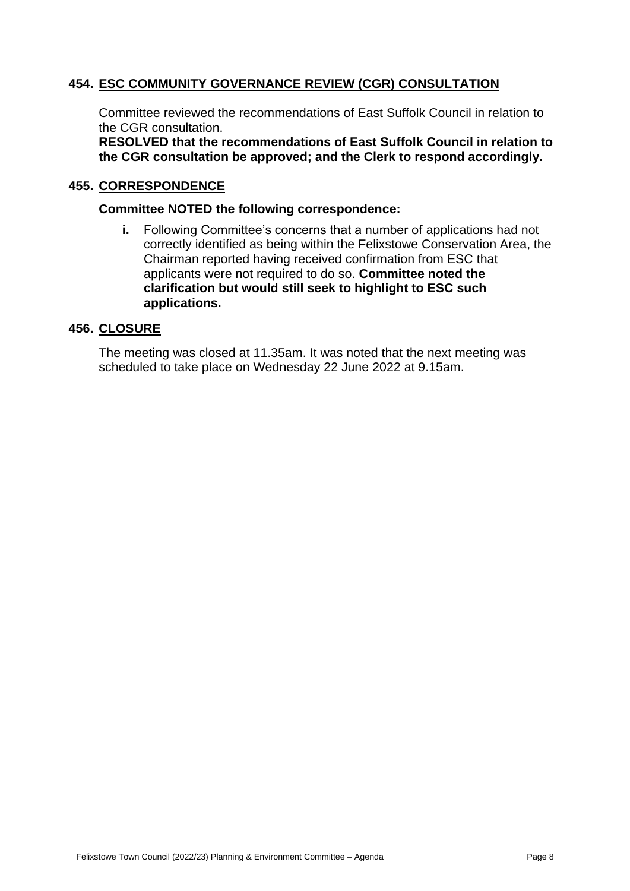# **454. ESC COMMUNITY GOVERNANCE REVIEW (CGR) CONSULTATION**

Committee reviewed the recommendations of East Suffolk Council in relation to the CGR consultation.

**RESOLVED that the recommendations of East Suffolk Council in relation to the CGR consultation be approved; and the Clerk to respond accordingly.**

#### **455. CORRESPONDENCE**

#### **Committee NOTED the following correspondence:**

**i.** Following Committee's concerns that a number of applications had not correctly identified as being within the Felixstowe Conservation Area, the Chairman reported having received confirmation from ESC that applicants were not required to do so. **Committee noted the clarification but would still seek to highlight to ESC such applications.**

#### **456. CLOSURE**

The meeting was closed at 11.35am. It was noted that the next meeting was scheduled to take place on Wednesday 22 June 2022 at 9.15am.